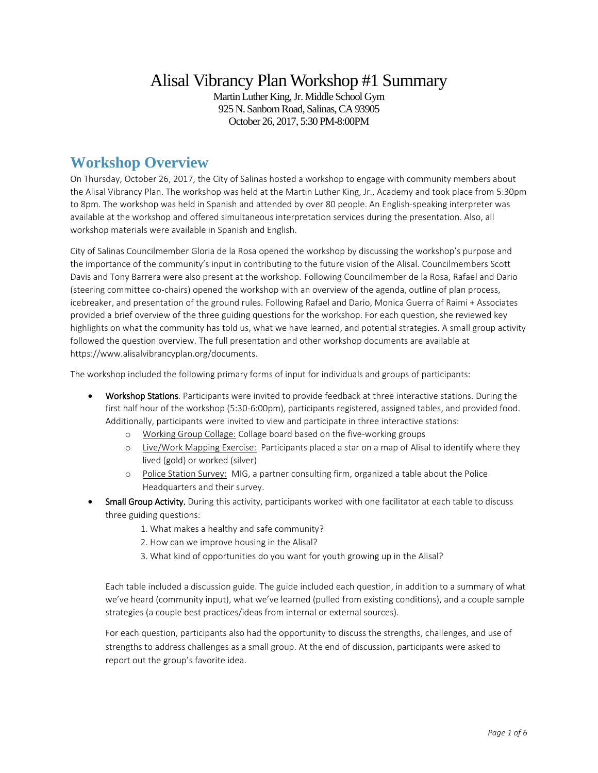# Alisal Vibrancy Plan Workshop #1 Summary

Martin Luther King, Jr. Middle School Gym 925 N. Sanborn Road, Salinas, CA 93905 October 26, 2017, 5:30 PM-8:00PM

# **Workshop Overview**

On Thursday, October 26, 2017, the City of Salinas hosted a workshop to engage with community members about the Alisal Vibrancy Plan. The workshop was held at the Martin Luther King, Jr., Academy and took place from 5:30pm to 8pm. The workshop was held in Spanish and attended by over 80 people. An English-speaking interpreter was available at the workshop and offered simultaneous interpretation services during the presentation. Also, all workshop materials were available in Spanish and English.

City of Salinas Councilmember Gloria de la Rosa opened the workshop by discussing the workshop's purpose and the importance of the community's input in contributing to the future vision of the Alisal. Councilmembers Scott Davis and Tony Barrera were also present at the workshop. Following Councilmember de la Rosa, Rafael and Dario (steering committee co-chairs) opened the workshop with an overview of the agenda, outline of plan process, icebreaker, and presentation of the ground rules. Following Rafael and Dario, Monica Guerra of Raimi + Associates provided a brief overview of the three guiding questions for the workshop. For each question, she reviewed key highlights on what the community has told us, what we have learned, and potential strategies. A small group activity followed the question overview. The full presentation and other workshop documents are available at https://www.alisalvibrancyplan.org/documents.

The workshop included the following primary forms of input for individuals and groups of participants:

- Workshop Stations. Participants were invited to provide feedback at three interactive stations. During the first half hour of the workshop (5:30-6:00pm), participants registered, assigned tables, and provided food. Additionally, participants were invited to view and participate in three interactive stations:
	- o Working Group Collage: Collage board based on the five-working groups
	- o Live/Work Mapping Exercise: Participants placed a star on a map of Alisal to identify where they lived (gold) or worked (silver)
	- o Police Station Survey: MIG, a partner consulting firm, organized a table about the Police Headquarters and their survey.
- Small Group Activity. During this activity, participants worked with one facilitator at each table to discuss three guiding questions:
	- 1. What makes a healthy and safe community?
	- 2. How can we improve housing in the Alisal?
	- 3. What kind of opportunities do you want for youth growing up in the Alisal?

Each table included a discussion guide. The guide included each question, in addition to a summary of what we've heard (community input), what we've learned (pulled from existing conditions), and a couple sample strategies (a couple best practices/ideas from internal or external sources).

For each question, participants also had the opportunity to discuss the strengths, challenges, and use of strengths to address challenges as a small group. At the end of discussion, participants were asked to report out the group's favorite idea.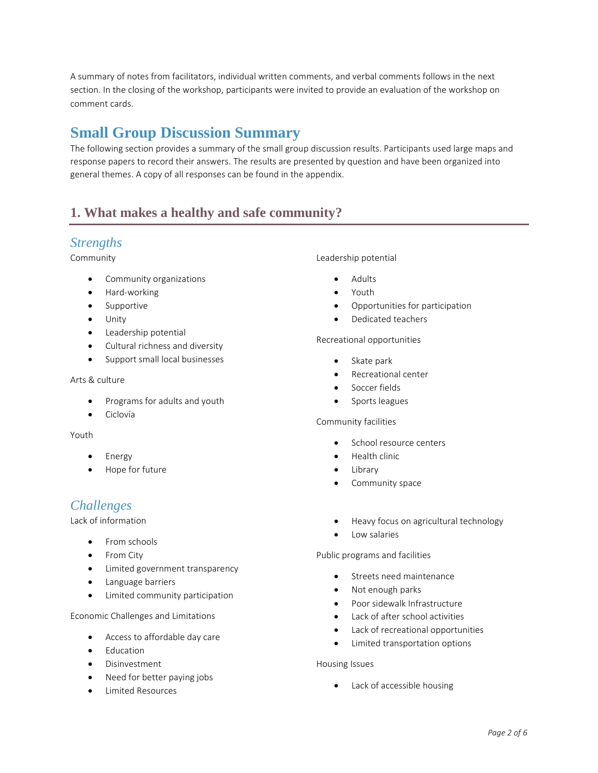A summary of notes from facilitators, individual written comments, and verbal comments follows in the next section. In the closing of the workshop, participants were invited to provide an evaluation of the workshop on comment cards.

# **Small Group Discussion Summary**

The following section provides a summary of the small group discussion results. Participants used large maps and response papers to record their answers. The results are presented by question and have been organized into general themes. A copy of all responses can be found in the appendix.

# **1. What makes a healthy and safe community?**

### *Strengths*

#### Community

- Community organizations
- Hard-working
- Supportive
- **•** Unity
- **•** Leadership potential
- Cultural richness and diversity
- Support small local businesses

#### Arts & culture

- Programs for adults and youth
- Ciclovía

#### Youth

- Energy
- Hope for future

## *Challenges*

Lack of information

- From schools
- From City
- Limited government transparency
- **•** Language barriers
- Limited community participation

Economic Challenges and Limitations

- Access to affordable day care
- Education
- Disinvestment
- Need for better paying jobs
- Limited Resources

#### Leadership potential

- Adults
- Youth
- Opportunities for participation
- Dedicated teachers

#### Recreational opportunities

- Skate park
- Recreational center
- **•** Soccer fields
- Sports leagues

#### Community facilities

- School resource centers
- Health clinic
- Library
- Community space
- Heavy focus on agricultural technology
- Low salaries

Public programs and facilities

- **Streets need maintenance**
- Not enough parks
- Poor sidewalk Infrastructure
- Lack of after school activities
- Lack of recreational opportunities
- Limited transportation options

#### Housing Issues

• Lack of accessible housing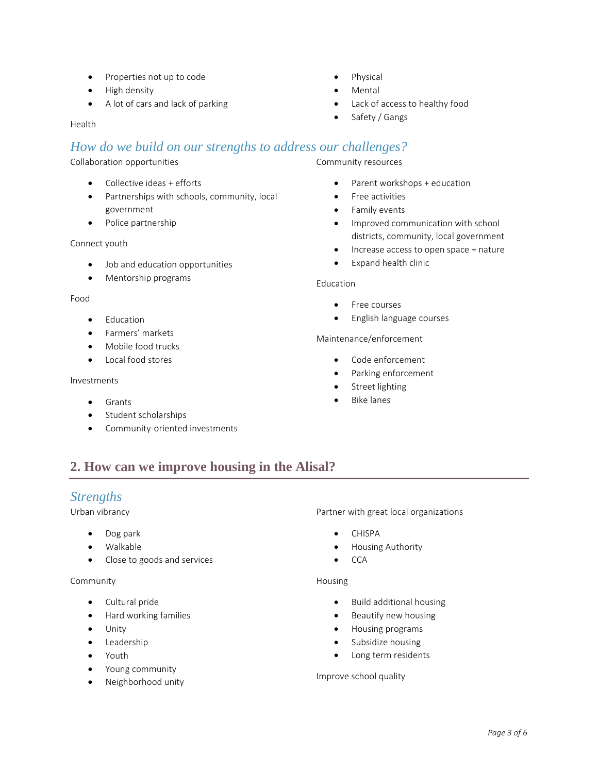- Properties not up to code
- High density
- A lot of cars and lack of parking

Health

## *How do we build on our strengths to address our challenges?*

Collaboration opportunities

- Collective ideas + efforts
- Partnerships with schools, community, local government
- Police partnership

Connect youth

- Job and education opportunities
- Mentorship programs

#### Food

- **•** Education
- Farmers' markets
- Mobile food trucks
- Local food stores

#### Investments

- Grants
- **•** Student scholarships
- Community-oriented investments

Community resources

- Parent workshops + education
- Free activities
- **•** Family events
- Improved communication with school districts, community, local government
- Increase access to open space + nature
- Expand health clinic

#### Education

- Free courses
- **•** English language courses

### Maintenance/enforcement

- Code enforcement
- Parking enforcement
- Street lighting
- Bike lanes

## **2. How can we improve housing in the Alisal?**

### *Strengths*

Urban vibrancy

- Dog park
- Walkable
- Close to goods and services

#### Community

- Cultural pride
- Hard working families
- Unity
- **•** Leadership
- Youth
- Young community
- Neighborhood unity

Partner with great local organizations

- CHISPA
- Housing Authority
- $\bullet$  CCA

#### Housing

- Build additional housing
- Beautify new housing
- Housing programs
- Subsidize housing
- Long term residents

#### Improve school quality

### Physical

- Mental
- Lack of access to healthy food
- Safety / Gangs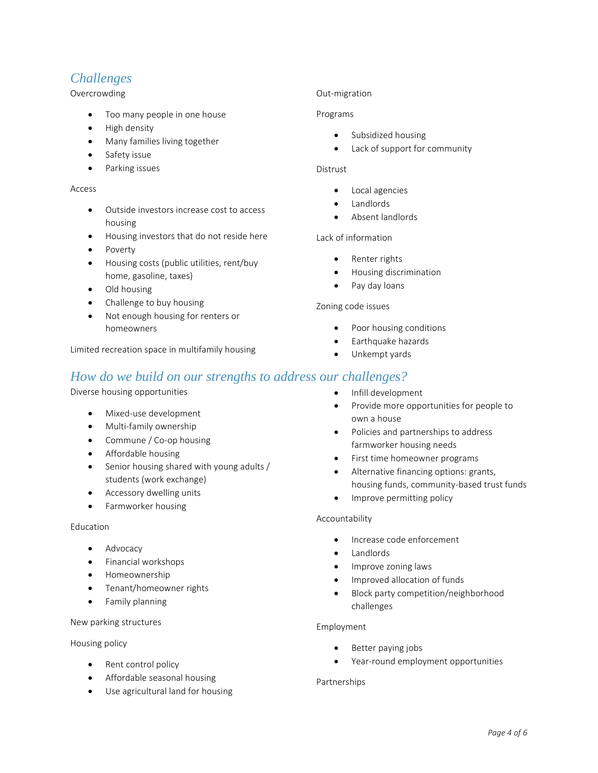# *Challenges*

### Overcrowding

- Too many people in one house
- High density
- Many families living together
- Safety issue
- **•** Parking issues

#### Access

- Outside investors increase cost to access housing
- Housing investors that do not reside here
- Poverty
- Housing costs (public utilities, rent/buy home, gasoline, taxes)
- Old housing
- Challenge to buy housing
- Not enough housing for renters or homeowners

Limited recreation space in multifamily housing

## *How do we build on our strengths to address our challenges?*

Diverse housing opportunities

- Mixed-use development
- Multi-family ownership
- Commune / Co-op housing
- Affordable housing
- Senior housing shared with young adults / students (work exchange)
- Accessory dwelling units
- Farmworker housing

#### Education

- Advocacy
- **•** Financial workshops
- **•** Homeownership
- Tenant/homeowner rights
- **•** Family planning

### New parking structures

Housing policy

- Rent control policy
- Affordable seasonal housing
- Use agricultural land for housing

#### Out-migration

#### Programs

- Subsidized housing
- Lack of support for community

#### Distrust

- Local agencies
- Landlords
- Absent landlords

#### Lack of information

- Renter rights
- **•** Housing discrimination
- Pay day loans

#### Zoning code issues

- Poor housing conditions
- Earthquake hazards
- Unkempt yards
- Infill development
- Provide more opportunities for people to own a house
- Policies and partnerships to address farmworker housing needs
- First time homeowner programs
- Alternative financing options: grants, housing funds, community-based trust funds
- Improve permitting policy

#### Accountability

- Increase code enforcement
- **•** Landlords
- Improve zoning laws
- Improved allocation of funds
- Block party competition/neighborhood challenges

#### Employment

- Better paying jobs
- Year-round employment opportunities

#### Partnerships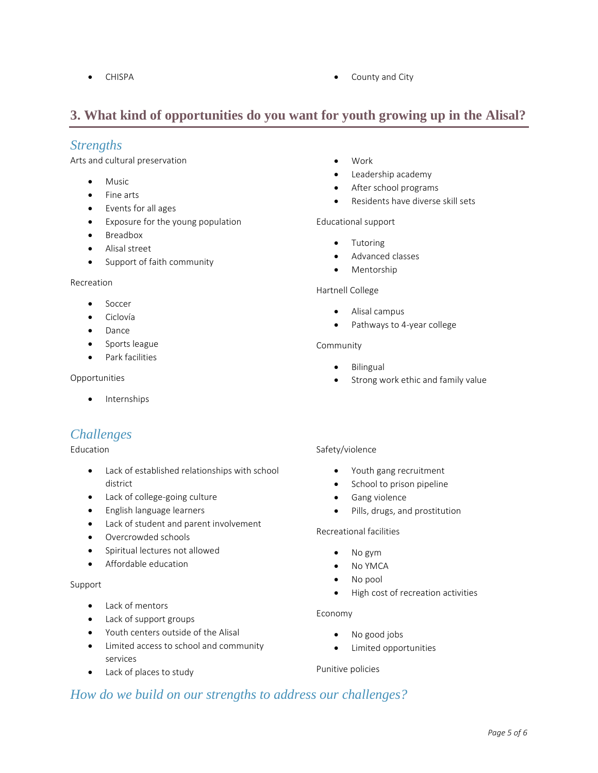• CHISPA **CHISPA CHISPA COUNTY COUNTY COUNTY COUNTY COUNTY COUNTY COUNTY COUNTY COUNTY COUNTY COUNTY COUNTY COUNTY COUNTY COUNTY COUNTY COUNTY COUNTY COUNTY COUNTY COUNTY COUNT** 

# **3. What kind of opportunities do you want for youth growing up in the Alisal?**

### *Strengths*

Arts and cultural preservation

- Music
- Fine arts
- Events for all ages
- Exposure for the young population
- **•** Breadbox
- Alisal street
- Support of faith community

#### Recreation

- Soccer
- Ciclovía
- Dance
- Sports league
- **•** Park facilities

#### Opportunities

• Internships

# *Challenges*

#### Education

- Lack of established relationships with school district
- Lack of college-going culture
- English language learners
- Lack of student and parent involvement
- Overcrowded schools
- Spiritual lectures not allowed
- Affordable education

### Support

- Lack of mentors
- Lack of support groups
- Youth centers outside of the Alisal
- Limited access to school and community services
- Lack of places to study
- Work
- Leadership academy
- After school programs
- Residents have diverse skill sets

#### Educational support

- Tutoring
- Advanced classes
- Mentorship

#### Hartnell College

- Alisal campus
- Pathways to 4-year college

#### Community

- Bilingual
- Strong work ethic and family value

#### Safety/violence

- Youth gang recruitment
- School to prison pipeline
- **•** Gang violence
- Pills, drugs, and prostitution

#### Recreational facilities

- No gym
- No YMCA
- No pool
- High cost of recreation activities

#### Economy

- No good jobs
- Limited opportunities

#### Punitive policies

## *How do we build on our strengths to address our challenges?*